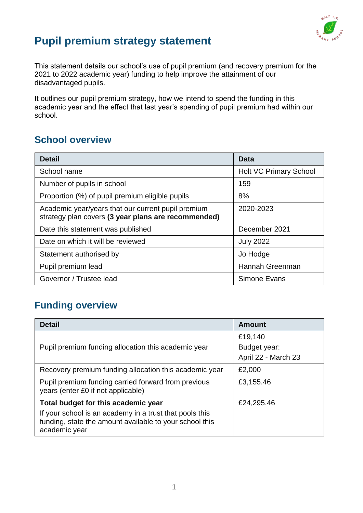

# **Pupil premium strategy statement**

This statement details our school's use of pupil premium (and recovery premium for the 2021 to 2022 academic year) funding to help improve the attainment of our disadvantaged pupils.

It outlines our pupil premium strategy, how we intend to spend the funding in this academic year and the effect that last year's spending of pupil premium had within our school.

## **School overview**

| <b>Detail</b>                                                                                             | Data                          |  |
|-----------------------------------------------------------------------------------------------------------|-------------------------------|--|
| School name                                                                                               | <b>Holt VC Primary School</b> |  |
| Number of pupils in school                                                                                | 159                           |  |
| Proportion (%) of pupil premium eligible pupils                                                           | 8%                            |  |
| Academic year/years that our current pupil premium<br>strategy plan covers (3 year plans are recommended) | 2020-2023                     |  |
| Date this statement was published                                                                         | December 2021                 |  |
| Date on which it will be reviewed                                                                         | <b>July 2022</b>              |  |
| Statement authorised by                                                                                   | Jo Hodge                      |  |
| Pupil premium lead                                                                                        | Hannah Greenman               |  |
| Governor / Trustee lead                                                                                   | Simone Evans                  |  |

## **Funding overview**

| <b>Detail</b>                                                                                                                       | <b>Amount</b>       |
|-------------------------------------------------------------------------------------------------------------------------------------|---------------------|
|                                                                                                                                     | £19,140             |
| Pupil premium funding allocation this academic year                                                                                 | Budget year:        |
|                                                                                                                                     | April 22 - March 23 |
| Recovery premium funding allocation this academic year                                                                              | £2,000              |
| Pupil premium funding carried forward from previous<br>years (enter £0 if not applicable)                                           | £3,155.46           |
| Total budget for this academic year                                                                                                 | £24,295.46          |
| If your school is an academy in a trust that pools this<br>funding, state the amount available to your school this<br>academic year |                     |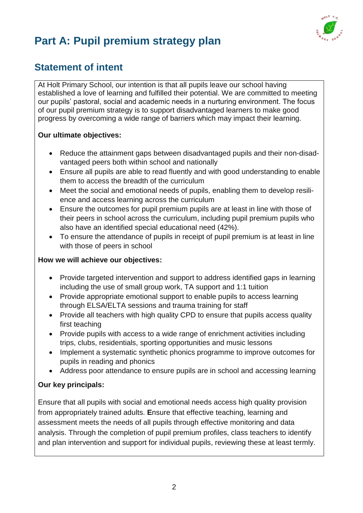

# **Part A: Pupil premium strategy plan**

## **Statement of intent**

At Holt Primary School, our intention is that all pupils leave our school having established a love of learning and fulfilled their potential. We are committed to meeting our pupils' pastoral, social and academic needs in a nurturing environment. The focus of our pupil premium strategy is to support disadvantaged learners to make good progress by overcoming a wide range of barriers which may impact their learning.

#### **Our ultimate objectives:**

- Reduce the attainment gaps between disadvantaged pupils and their non-disadvantaged peers both within school and nationally
- Ensure all pupils are able to read fluently and with good understanding to enable them to access the breadth of the curriculum
- Meet the social and emotional needs of pupils, enabling them to develop resilience and access learning across the curriculum
- Ensure the outcomes for pupil premium pupils are at least in line with those of their peers in school across the curriculum, including pupil premium pupils who also have an identified special educational need (42%).
- To ensure the attendance of pupils in receipt of pupil premium is at least in line with those of peers in school

#### **How we will achieve our objectives:**

- Provide targeted intervention and support to address identified gaps in learning including the use of small group work, TA support and 1:1 tuition
- Provide appropriate emotional support to enable pupils to access learning through ELSA/ELTA sessions and trauma training for staff
- Provide all teachers with high quality CPD to ensure that pupils access quality first teaching
- Provide pupils with access to a wide range of enrichment activities including trips, clubs, residentials, sporting opportunities and music lessons
- Implement a systematic synthetic phonics programme to improve outcomes for pupils in reading and phonics
- Address poor attendance to ensure pupils are in school and accessing learning

#### **Our key principals:**

Ensure that all pupils with social and emotional needs access high quality provision from appropriately trained adults. **E**nsure that effective teaching, learning and assessment meets the needs of all pupils through effective monitoring and data analysis. Through the completion of pupil premium profiles, class teachers to identify and plan intervention and support for individual pupils, reviewing these at least termly.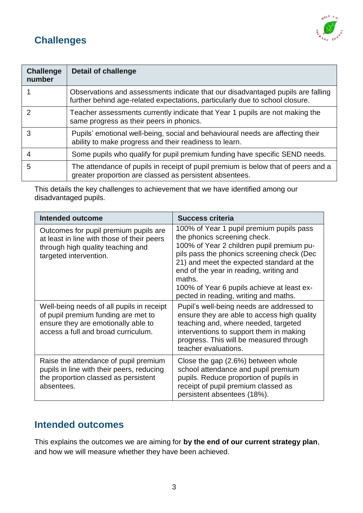# **Challenges**



| <b>Challenge</b><br>number | <b>Detail of challenge</b>                                                                                                                                      |
|----------------------------|-----------------------------------------------------------------------------------------------------------------------------------------------------------------|
|                            | Observations and assessments indicate that our disadvantaged pupils are falling<br>further behind age-related expectations, particularly due to school closure. |
| 2                          | Teacher assessments currently indicate that Year 1 pupils are not making the<br>same progress as their peers in phonics.                                        |
| 3                          | Pupils' emotional well-being, social and behavioural needs are affecting their<br>ability to make progress and their readiness to learn.                        |
| 4                          | Some pupils who qualify for pupil premium funding have specific SEND needs.                                                                                     |
| 5                          | The attendance of pupils in receipt of pupil premium is below that of peers and a<br>greater proportion are classed as persistent absentees.                    |

This details the key challenges to achievement that we have identified among our disadvantaged pupils.

| <b>Intended outcome</b>                                                                                                                                        | <b>Success criteria</b>                                                                                                                                                                                                                                                                                                                                      |
|----------------------------------------------------------------------------------------------------------------------------------------------------------------|--------------------------------------------------------------------------------------------------------------------------------------------------------------------------------------------------------------------------------------------------------------------------------------------------------------------------------------------------------------|
| Outcomes for pupil premium pupils are<br>at least in line with those of their peers<br>through high quality teaching and<br>targeted intervention.             | 100% of Year 1 pupil premium pupils pass<br>the phonics screening check.<br>100% of Year 2 children pupil premium pu-<br>pils pass the phonics screening check (Dec<br>21) and meet the expected standard at the<br>end of the year in reading, writing and<br>maths.<br>100% of Year 6 pupils achieve at least ex-<br>pected in reading, writing and maths. |
| Well-being needs of all pupils in receipt<br>of pupil premium funding are met to<br>ensure they are emotionally able to<br>access a full and broad curriculum. | Pupil's well-being needs are addressed to<br>ensure they are able to access high quality<br>teaching and, where needed, targeted<br>interventions to support them in making<br>progress. This will be measured through<br>teacher evaluations.                                                                                                               |
| Raise the attendance of pupil premium<br>pupils in line with their peers, reducing<br>the proportion classed as persistent<br>absentees.                       | Close the gap (2.6%) between whole<br>school attendance and pupil premium<br>pupils. Reduce proportion of pupils in<br>receipt of pupil premium classed as<br>persistent absentees (18%).                                                                                                                                                                    |

### **Intended outcomes**

This explains the outcomes we are aiming for **by the end of our current strategy plan**, and how we will measure whether they have been achieved.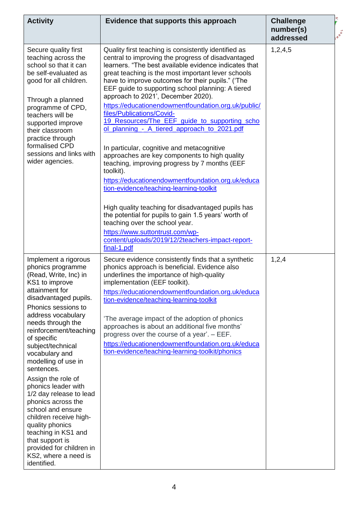| <b>Activity</b>                                                                                                                                                                                                                                                                                                                                                                                                                                                                                                                                                                                     | Evidence that supports this approach                                                                                                                                                                                                                                                                                                                                                                                                                                                                                                                                                                                                                                                                                                                                                                                                                                                                                                                                                                                                                              | <b>Challenge</b><br>number(s)<br>addressed | <b>A</b> <sup>oo1</sup> |
|-----------------------------------------------------------------------------------------------------------------------------------------------------------------------------------------------------------------------------------------------------------------------------------------------------------------------------------------------------------------------------------------------------------------------------------------------------------------------------------------------------------------------------------------------------------------------------------------------------|-------------------------------------------------------------------------------------------------------------------------------------------------------------------------------------------------------------------------------------------------------------------------------------------------------------------------------------------------------------------------------------------------------------------------------------------------------------------------------------------------------------------------------------------------------------------------------------------------------------------------------------------------------------------------------------------------------------------------------------------------------------------------------------------------------------------------------------------------------------------------------------------------------------------------------------------------------------------------------------------------------------------------------------------------------------------|--------------------------------------------|-------------------------|
| Secure quality first<br>teaching across the<br>school so that it can<br>be self-evaluated as<br>good for all children.<br>Through a planned<br>programme of CPD,<br>teachers will be<br>supported improve<br>their classroom<br>practice through<br>formalised CPD<br>sessions and links with<br>wider agencies.                                                                                                                                                                                                                                                                                    | Quality first teaching is consistently identified as<br>central to improving the progress of disadvantaged<br>learners. "The best available evidence indicates that<br>great teaching is the most important lever schools<br>have to improve outcomes for their pupils." ('The<br>EEF guide to supporting school planning: A tiered<br>approach to 2021', December 2020).<br>https://educationendowmentfoundation.org.uk/public/<br>files/Publications/Covid-<br>19 Resources/The EEF guide to supporting scho<br>ol_planning_-_A_tiered_approach_to_2021.pdf<br>In particular, cognitive and metacognitive<br>approaches are key components to high quality<br>teaching, improving progress by 7 months (EEF<br>toolkit).<br>https://educationendowmentfoundation.org.uk/educa<br>tion-evidence/teaching-learning-toolkit<br>High quality teaching for disadvantaged pupils has<br>the potential for pupils to gain 1.5 years' worth of<br>teaching over the school year.<br>https://www.suttontrust.com/wp-<br>content/uploads/2019/12/2teachers-impact-report- | 1,2,4,5                                    |                         |
|                                                                                                                                                                                                                                                                                                                                                                                                                                                                                                                                                                                                     | final-1.pdf                                                                                                                                                                                                                                                                                                                                                                                                                                                                                                                                                                                                                                                                                                                                                                                                                                                                                                                                                                                                                                                       |                                            |                         |
| Implement a rigorous<br>phonics programme<br>(Read, Write, Inc) in<br>KS1 to improve<br>attainment for<br>disadvantaged pupils.<br>Phonics sessions to<br>address vocabulary<br>needs through the<br>reinforcement/teaching<br>of specific<br>subject/technical<br>vocabulary and<br>modelling of use in<br>sentences.<br>Assign the role of<br>phonics leader with<br>1/2 day release to lead<br>phonics across the<br>school and ensure<br>children receive high-<br>quality phonics<br>teaching in KS1 and<br>that support is<br>provided for children in<br>KS2, where a need is<br>identified. | Secure evidence consistently finds that a synthetic<br>phonics approach is beneficial. Evidence also<br>underlines the importance of high-quality<br>implementation (EEF toolkit).<br>https://educationendowmentfoundation.org.uk/educa<br>tion-evidence/teaching-learning-toolkit<br>The average impact of the adoption of phonics<br>approaches is about an additional five months'<br>progress over the course of a year'. - EEF.<br>https://educationendowmentfoundation.org.uk/educa<br>tion-evidence/teaching-learning-toolkit/phonics                                                                                                                                                                                                                                                                                                                                                                                                                                                                                                                      | 1,2,4                                      |                         |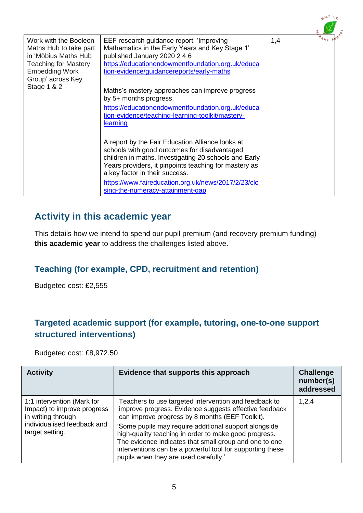|                                                                                                                                                      |                                                                                                                                                                                                                                                      |     | $0^{L}$ <sup>T</sup> $\mu_{\alpha}$ |
|------------------------------------------------------------------------------------------------------------------------------------------------------|------------------------------------------------------------------------------------------------------------------------------------------------------------------------------------------------------------------------------------------------------|-----|-------------------------------------|
| Work with the Booleon<br>Maths Hub to take part<br>in 'Möbius Maths Hub<br><b>Teaching for Mastery</b><br><b>Embedding Work</b><br>Group' across Key | EEF research guidance report: 'Improving<br>Mathematics in the Early Years and Key Stage 1'<br>published January 2020 2 4 6<br>https://educationendowmentfoundation.org.uk/educa<br>tion-evidence/guidancereports/early-maths                        | 1,4 |                                     |
| Stage 1 & 2                                                                                                                                          | Maths's mastery approaches can improve progress<br>by 5+ months progress.<br>https://educationendowmentfoundation.org.uk/educa<br>tion-evidence/teaching-learning-toolkit/mastery-<br>learning                                                       |     |                                     |
|                                                                                                                                                      | A report by the Fair Education Alliance looks at<br>schools with good outcomes for disadvantaged<br>children in maths. Investigating 20 schools and Early<br>Years providers, it pinpoints teaching for mastery as<br>a key factor in their success. |     |                                     |
|                                                                                                                                                      | https://www.faireducation.org.uk/news/2017/2/23/clo<br>sing-the-numeracy-attainment-gap                                                                                                                                                              |     |                                     |

## **Activity in this academic year**

This details how we intend to spend our pupil premium (and recovery premium funding) **this academic year** to address the challenges listed above.

#### **Teaching (for example, CPD, recruitment and retention)**

Budgeted cost: £2,555

#### **Targeted academic support (for example, tutoring, one-to-one support structured interventions)**

Budgeted cost: £8,972.50

| <b>Activity</b>                                                                                                                   | Evidence that supports this approach                                                                                                                                                                                                                                                                                                                                                                                                                 | <b>Challenge</b><br>number(s)<br>addressed |
|-----------------------------------------------------------------------------------------------------------------------------------|------------------------------------------------------------------------------------------------------------------------------------------------------------------------------------------------------------------------------------------------------------------------------------------------------------------------------------------------------------------------------------------------------------------------------------------------------|--------------------------------------------|
| 1:1 intervention (Mark for<br>Impact) to improve progress<br>in writing through<br>individualised feedback and<br>target setting. | Teachers to use targeted intervention and feedback to<br>improve progress. Evidence suggests effective feedback<br>can improve progress by 8 months (EEF Toolkit).<br>'Some pupils may require additional support alongside<br>high-quality teaching in order to make good progress.<br>The evidence indicates that small group and one to one<br>interventions can be a powerful tool for supporting these<br>pupils when they are used carefully.' | 1,2,4                                      |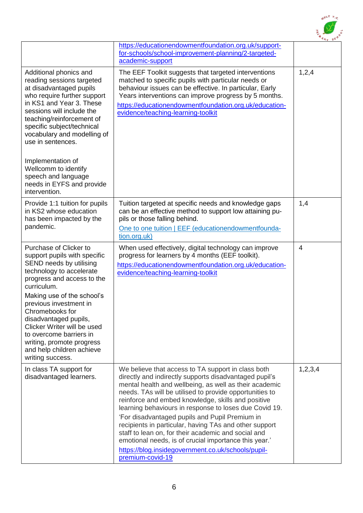

|                                                                                                                                                                                                                                                                                                                                                                                                         | https://educationendowmentfoundation.org.uk/support-<br>for-schools/school-improvement-planning/2-targeted-<br>academic-support                                                                                                                                                                                                                                                                                                                                                                                                                                                                                                                         |                |
|---------------------------------------------------------------------------------------------------------------------------------------------------------------------------------------------------------------------------------------------------------------------------------------------------------------------------------------------------------------------------------------------------------|---------------------------------------------------------------------------------------------------------------------------------------------------------------------------------------------------------------------------------------------------------------------------------------------------------------------------------------------------------------------------------------------------------------------------------------------------------------------------------------------------------------------------------------------------------------------------------------------------------------------------------------------------------|----------------|
| Additional phonics and<br>reading sessions targeted<br>at disadvantaged pupils<br>who require further support<br>in KS1 and Year 3. These<br>sessions will include the<br>teaching/reinforcement of<br>specific subject/technical<br>vocabulary and modelling of<br>use in sentences.<br>Implementation of<br>Wellcomm to identify<br>speech and language<br>needs in EYFS and provide<br>intervention. | The EEF Toolkit suggests that targeted interventions<br>matched to specific pupils with particular needs or<br>behaviour issues can be effective. In particular, Early<br>Years interventions can improve progress by 5 months.<br>https://educationendowmentfoundation.org.uk/education-<br>evidence/teaching-learning-toolkit                                                                                                                                                                                                                                                                                                                         | 1,2,4          |
| Provide 1:1 tuition for pupils<br>in KS2 whose education<br>has been impacted by the<br>pandemic.                                                                                                                                                                                                                                                                                                       | Tuition targeted at specific needs and knowledge gaps<br>can be an effective method to support low attaining pu-<br>pils or those falling behind.<br>One to one tuition   EEF (educationendowmentfounda-<br>tion.org.uk)                                                                                                                                                                                                                                                                                                                                                                                                                                | 1,4            |
| Purchase of Clicker to<br>support pupils with specific<br>SEND needs by utilising<br>technology to accelerate<br>progress and access to the<br>curriculum.<br>Making use of the school's<br>previous investment in<br>Chromebooks for<br>disadvantaged pupils,<br>Clicker Writer will be used<br>to overcome barriers in<br>writing, promote progress<br>and help children achieve<br>writing success.  | When used effectively, digital technology can improve<br>progress for learners by 4 months (EEF toolkit).<br>https://educationendowmentfoundation.org.uk/education-<br>evidence/teaching-learning-toolkit                                                                                                                                                                                                                                                                                                                                                                                                                                               | $\overline{4}$ |
| In class TA support for<br>disadvantaged learners.                                                                                                                                                                                                                                                                                                                                                      | We believe that access to TA support in class both<br>directly and indirectly supports disadvantaged pupil's<br>mental health and wellbeing, as well as their academic<br>needs. TAs will be utilised to provide opportunities to<br>reinforce and embed knowledge, skills and positive<br>learning behaviours in response to loses due Covid 19.<br>'For disadvantaged pupils and Pupil Premium in<br>recipients in particular, having TAs and other support<br>staff to lean on, for their academic and social and<br>emotional needs, is of crucial importance this year.'<br>https://blog.insidegovernment.co.uk/schools/pupil-<br>premium-covid-19 | 1,2,3,4        |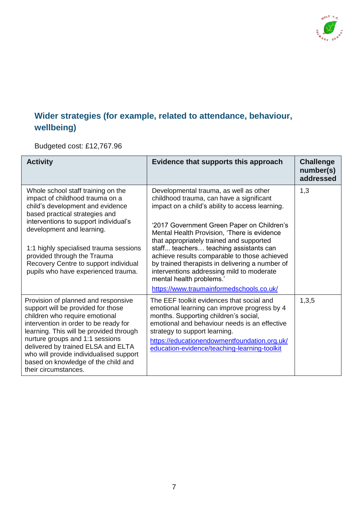

## **Wider strategies (for example, related to attendance, behaviour, wellbeing)**

Budgeted cost: £12,767.96

| <b>Activity</b>                                                                                                                                                                                                                                                                                                                                                                    | Evidence that supports this approach                                                                                                                                                                                                                                                                                                                                                                                                                                                                                                             | <b>Challenge</b><br>number(s)<br>addressed |
|------------------------------------------------------------------------------------------------------------------------------------------------------------------------------------------------------------------------------------------------------------------------------------------------------------------------------------------------------------------------------------|--------------------------------------------------------------------------------------------------------------------------------------------------------------------------------------------------------------------------------------------------------------------------------------------------------------------------------------------------------------------------------------------------------------------------------------------------------------------------------------------------------------------------------------------------|--------------------------------------------|
| Whole school staff training on the<br>impact of childhood trauma on a<br>child's development and evidence<br>based practical strategies and<br>interventions to support individual's<br>development and learning.<br>1:1 highly specialised trauma sessions<br>provided through the Trauma<br>Recovery Centre to support individual<br>pupils who have experienced trauma.         | Developmental trauma, as well as other<br>childhood trauma, can have a significant<br>impact on a child's ability to access learning.<br>'2017 Government Green Paper on Children's<br>Mental Health Provision, 'There is evidence<br>that appropriately trained and supported<br>staff teachers teaching assistants can<br>achieve results comparable to those achieved<br>by trained therapists in delivering a number of<br>interventions addressing mild to moderate<br>mental health problems.'<br>https://www.traumainformedschools.co.uk/ | 1,3                                        |
| Provision of planned and responsive<br>support will be provided for those<br>children who require emotional<br>intervention in order to be ready for<br>learning. This will be provided through<br>nurture groups and 1:1 sessions<br>delivered by trained ELSA and ELTA<br>who will provide individualised support<br>based on knowledge of the child and<br>their circumstances. | The EEF toolkit evidences that social and<br>emotional learning can improve progress by 4<br>months. Supporting children's social,<br>emotional and behaviour needs is an effective<br>strategy to support learning.<br>https://educationendowmentfoundation.org.uk/<br>education-evidence/teaching-learning-toolkit                                                                                                                                                                                                                             | 1,3,5                                      |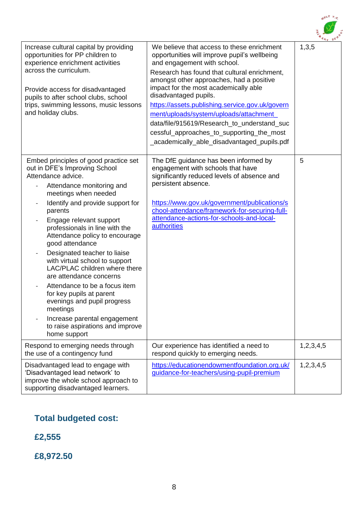

|                                                                                                                                                                                                                                                                                                                                                                                                                                                                                                                                                                                                                                              |                                                                                                                                                                                                                                                                                                                                                                                                                                                                                                                                  | $78y$ SU  |
|----------------------------------------------------------------------------------------------------------------------------------------------------------------------------------------------------------------------------------------------------------------------------------------------------------------------------------------------------------------------------------------------------------------------------------------------------------------------------------------------------------------------------------------------------------------------------------------------------------------------------------------------|----------------------------------------------------------------------------------------------------------------------------------------------------------------------------------------------------------------------------------------------------------------------------------------------------------------------------------------------------------------------------------------------------------------------------------------------------------------------------------------------------------------------------------|-----------|
| Increase cultural capital by providing<br>opportunities for PP children to<br>experience enrichment activities<br>across the curriculum.<br>Provide access for disadvantaged<br>pupils to after school clubs, school<br>trips, swimming lessons, music lessons<br>and holiday clubs.                                                                                                                                                                                                                                                                                                                                                         | We believe that access to these enrichment<br>opportunities will improve pupil's wellbeing<br>and engagement with school.<br>Research has found that cultural enrichment,<br>amongst other approaches, had a positive<br>impact for the most academically able<br>disadvantaged pupils.<br>https://assets.publishing.service.gov.uk/govern<br>ment/uploads/system/uploads/attachment_<br>data/file/915619/Research to understand suc<br>cessful_approaches_to_supporting_the_most<br>_academically_able_disadvantaged_pupils.pdf | 1,3,5     |
| Embed principles of good practice set<br>out in DFE's Improving School<br>Attendance advice.<br>Attendance monitoring and<br>meetings when needed<br>Identify and provide support for<br>parents<br>Engage relevant support<br>professionals in line with the<br>Attendance policy to encourage<br>good attendance<br>Designated teacher to liaise<br>with virtual school to support<br>LAC/PLAC children where there<br>are attendance concerns<br>Attendance to be a focus item<br>for key pupils at parent<br>evenings and pupil progress<br>meetings<br>Increase parental engagement<br>to raise aspirations and improve<br>home support | The DfE guidance has been informed by<br>engagement with schools that have<br>significantly reduced levels of absence and<br>persistent absence.<br>https://www.gov.uk/government/publications/s<br>chool-attendance/framework-for-securing-full-<br>attendance-actions-for-schools-and-local-<br>authorities                                                                                                                                                                                                                    | 5         |
| Respond to emerging needs through<br>the use of a contingency fund                                                                                                                                                                                                                                                                                                                                                                                                                                                                                                                                                                           | Our experience has identified a need to<br>respond quickly to emerging needs.                                                                                                                                                                                                                                                                                                                                                                                                                                                    | 1,2,3,4,5 |
| Disadvantaged lead to engage with<br>'Disadvantaged lead network' to<br>improve the whole school approach to<br>supporting disadvantaged learners.                                                                                                                                                                                                                                                                                                                                                                                                                                                                                           | https://educationendowmentfoundation.org.uk/<br>guidance-for-teachers/using-pupil-premium                                                                                                                                                                                                                                                                                                                                                                                                                                        | 1,2,3,4,5 |

## **Total budgeted cost:**

**£2,555**

**£8,972.50**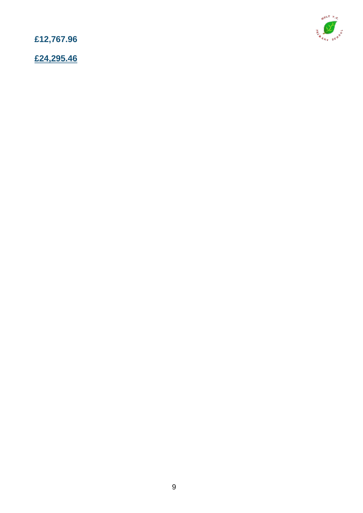**£12,767.96**

**£24,295.46**